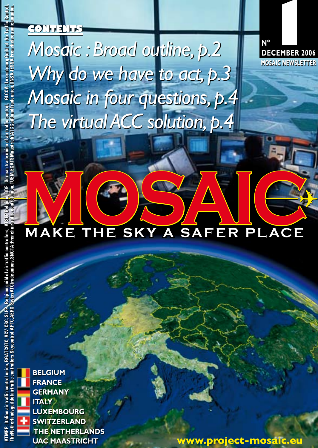# *Mosaic : Broad outline, p.2 Why do we have to act, p.3 Mosaic in four questions, p.4 The virtual ACC solution, p.4*

MOSAIC- $\frac{1}{\sqrt{2}}$ 

**BELGIUM FRANCE GERMANY ITALY LUXEMBOURG SWITZERLAND THE NETHERLANDS UAC MAASTRICHT** 

**CONTENTS**

**www.project-mosaic.eu**

**N**

**N°**<br>DECEMBER 2006

**MOSAIC NEWSLETTER**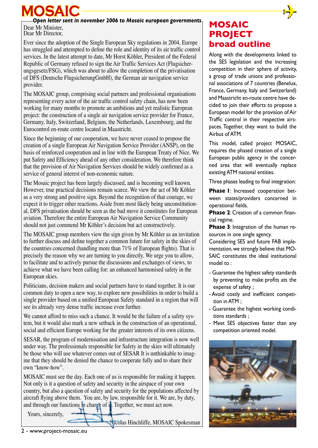**MOSAIC** 
<br> **MOSAIC Open letter sent in november 2006 to Mosaic european governments**<br> **MOSAIC** 

Dear Mr Minister, Dear Mr Director

Ever since the adoption of the Single European Sky regulations in 2004, Europe has struggled and attempted to define the role and identity of its air traffic control services. In the latest attempt to date, Mr Horst Köhler, President of the Federal Republic of Germany refused to sign the Air Traffic Services Act (Flugsicherungsgesetz/FSG), which was about to allow the completion of the privatisation of DFS (Deutsche FlugsicherungGmbH), the German air navigation service provider.

The MOSAIC group, comprising social partners and professional organisations representing every actor of the air traffic control safety chain, has now been working for many months to promote an ambitious and yet realistic European project: the construction of a single air navigation service provider for France, Germany, Italy, Switzerland, Belgium, the Netherlands, Luxembourg, and the Eurocontrol en-route centre located in Maastricht.

Since the beginning of our cooperation, we have never ceased to propose the creation of a single European Air Navigation Service Provider (ANSP), on the basis of reinforced cooperation and in line with the European Treaty of Nice. We put Safety and Efficiency ahead of any other consideration. We therefore think that the provision of Air Navigation Services should be widely confirmed as a service of general interest of non-economic nature.

The Mosaic project has been largely discussed, and is becoming well known. However, true practical decisions remain scarce. We view the act of Mr Köhler as a very strong and positive sign. Beyond the recognition of that courage, we expect it to trigger other reactions. Aside from most likely being unconstitutional, DFS privatisation should be seen as the bad move it constitutes for European aviation. Therefore the entire European Air Navigation Service Community should not just commend Mr Köhler's decision but act constructively.

The MOSAIC group members view the sign given by Mr Köhler as an invitation to further discuss and define together a common future for safety in the skies of the countries concerned (handling more than 71% of European flights). That is precisely the reason why we are turning to you directly. We urge you to allow, to facilitate and to actively pursue the discussions and exchanges of views, to achieve what we have been calling for: an enhanced harmonised safety in the European skies.

Politicians, decision makers and social partners have to stand together. It is our common duty to open a new way, to explore new possibilities in order to build a single provider based on a unified European Safety standard in a region that will see its already very dense traffic increase even further.

We cannot afford to miss such a chance. It would be the failure of a safety system, but it would also mark a new setback in the construction of an operational, social and efficient Europe working for the greater interests of its own citizens.

SESAR, the program of modernisation and infrastructure integration is now well under way. The professionals responsible for Safety in the skies will ultimately be those who will use whatever comes out of SESAR It is unthinkable to imagine that they should be denied the chance to cooperate fully and to share their own "know-how".

MOSAIC must see the day. Each one of us is responsible for making it happen. Not only is it a question of safety and security in the airspace of your own country, but also a question of safety and security for the populations affected by aircraft flying above them. You are, by law, responsible for it. We are, by duty, and through our functions in charge of it. Together, we must act now.

Yours, sincerely,

icolas Hinchliffe, MOSAIC Spokesman

### **MOSAIC PROJECT broad outline**

Along with the developments linked to the SES legislation and the increasing competition in their sphere of activity, a group of trade unions and professional associations of 7 countries (Benelux, France, Germany, Italy and Switzerland) and Maastricht en-route centre have decided to join their efforts to propose a European model for the provision of Air Traffic control in their respective airspaces. Together, they want to build the Airbus of ATM.

This model, called project MOSAIC, requires the phased creation of a single European public agency in the concerned area that will eventually replace existing ATM national entities.

Three phases leading to final integration:

**Phase 1**: Increased cooperation between states/providers concerned in operational fields.

**Phase 2**: Creation of a common financial regime.

**Phase 3**: Integration of the human resources in one single agency.

Considering SES and future FAB implementation, we strongly believe that MO-SAIC constitutes the ideal institutional model to :

- Guarantee the highest safety standards by preventing to make profits ats the expense of safety ;
- Avoid costly and inefficient competition in ATM ;
- Guarantee the highest working conditions standards ;
- Meet SES objectives faster than any competition oriented model.

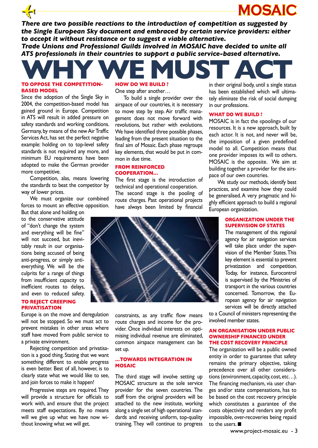✈ *There are two possible reactions to the introduction of competition as suggested by the Single European Sky document and embraced by certain service providers: either to accept it without resistance or to suggest a viable alternative.* 

*Trade Unions and Professional Guilds involved in MOSAIC have decided to unite all ATS professionals in their countries to support a public service-based alternative.*

## WHY WE MUST ACT **To oppose the competition-HOW DO WE BUILD ?**

# **based model**

Since the adoption of the Single Sky in 2004, the competition-based model has gained ground in Europe. Competition in ATS will result in added pressure on safety standards and working conditions. Germany, by means of the new Air Traffic Services Act, has set the perfect negative example: holding on to top-level safety standards is not required any more, and minimum EU requirements have been adopted to make the German provider more competitive.

Competition, alas, means lowering the standards to beat the competitor by way of lower prices.

We must organize our combined forces to mount an effective opposition.

But that alone and holding on to the conservative attitude of "don't change the system and everything will be fine" will not succeed, but inevitably result in our organisations being accused of being anti-progress, or simply antieverything. We will be the culprits for a range of things from insufficient capacity to inefficient routes to delays, and even to reduced safety.

#### **To reject creeping privatisation**

Europe is on the move and deregulation will not be stopped. So we must act to prevent mistakes in other areas where staff have moved from public service to a private environment.

Rejecting competition and privatisation is a good thing. Stating that we want something different to enable progress is even better. Best of all, however, is to clearly state what we would like to see, and join forces to make it happen!

Progressive steps are required. They will provide a structure for officials to work with, and ensure that the project meets staff expectations. By no means will we give up what we have now without knowing what we will get.

## One step after another…

To build a single provider over the airspace of our countries, it is necessary to move step by step. Air traffic management does not move forward with revolutions, but rather with evolutions. We have identified three possible phases, leading from the present situation to the final aim of Mosaic. Each phase regroups key elements, that would be put in common in due time.

#### **From reinforced Cooperation…**

The first stage is the introduction of technical and operational cooperation.

The second stage is the pooling of route charges. Past operational projects have always been limited by financial



constraints, as any traffic flow means route charges and income for the provider. Once individual interests on optimising individual revenue are eliminated, common airspace management can be set up.

#### **…towards integration in MOSAIC**

The third stage will involve setting up MOSAIC structure as the sole service provider for the seven countries. The staff from the original providers will be attached to the new institute, working along a single set of high operational standards and receiving uniform, top-quality training. They will continue to progress

in their original body, until a single status has been established which will ultimately eliminate the risk of social dumping in our professions.

**MOSAIC**

#### **WHAT DO WE BUILD ?**

MOSAIC is in fact the «pooling» of our resources. It is a new approach, built by each actor. It is not, and never will be, the imposition of a given predefined model to all. Competition means that one provider imposes its will to others. MOSAIC is the opposite. We aim at building together a provider for the airspace of our own countries.

We study our methods, identify best practices, and examine how they could be generalised. A very pragmatic and highly efficient approach to build a regional European organization.

#### **ORGANIZATION UNDER THE SUPERVISION OF STATES**

The management of this regional agency for air navigation services will take place under the supervision of the Member States. This key element is essential to prevent privatization and competition. Today, for instance, Eurocontrol is supervised by the Ministries of transport in the various countries concerned. Tomorrow, the European agency for air navigation services will be directly attached

to a Council of ministers representing the involved member states.

#### **AN ORGANISATION UNDER PUBLIC OWNERSHIP FINANCED UNDER THE COST RECOVERY PRINCIPLE**

The organization will be a public owned entity in order to guarantee that safety remains the primary objective, taking precedence over all other considerations (environment, capacity, cost, etc…). The financing mechanism, via user charges and/or state compensations, has to be based on the cost recovery principle which constitutes a guarantee of the costs objectivity and renders any profit impossible, over-recoveries being repaid to the users.